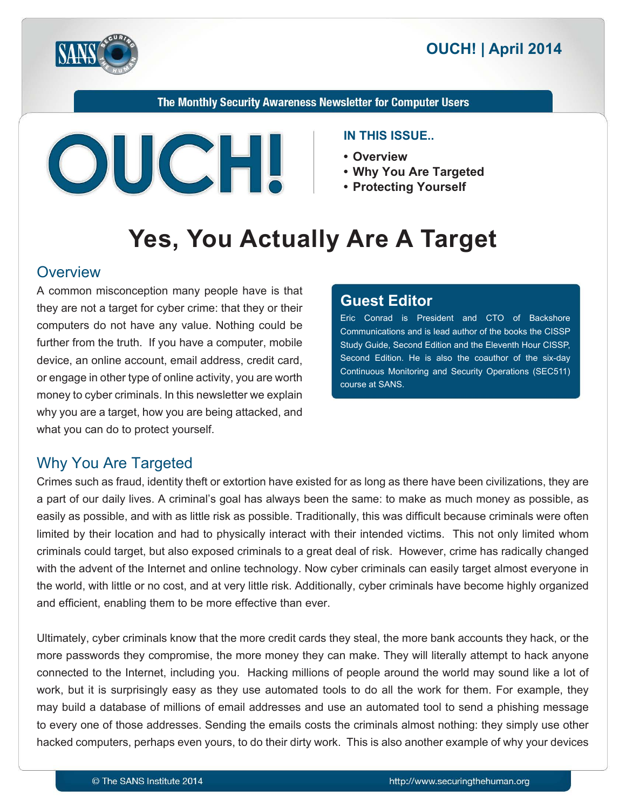

The Monthly Security Awareness Newsletter for Computer Users



#### **IN THIS ISSUE..**

- **Overview•**
- Why You Are Targeted
- **Yourself Protecting•**

# **Yes, You Actually Are A Target**

#### **Overview**

A common misconception many people have is that they are not a target for cyber crime: that they or their computers do not have any value. Nothing could be further from the truth. If you have a computer, mobile device, an online account, email address, credit card, or engage in other type of online activity, you are worth money to cyber criminals. In this newsletter we explain why you are a target, how you are being attacked, and what you can do to protect yourself.

#### **Editor Guest**

Eric Conrad is President and CTO of Backshore Communications and is lead author of the books the CISSP Study Guide, Second Edition and the Eleventh Hour CISSP, Second Edition. He is also the coauthor of the six-day Continuous Monitoring and Security Operations (SEC511) course at SANS.

#### **Why You Are Targeted**

Crimes such as fraud, identity theft or extortion have existed for as long as there have been civilizations, they are a part of our daily lives. A criminal's goal has always been the same: to make as much money as possible, as easily as possible, and with as little risk as possible. Traditionally, this was difficult because criminals were often limited by their location and had to physically interact with their intended victims. This not only limited whom criminals could target, but also exposed criminals to a great deal of risk. However, crime has radically changed with the advent of the Internet and online technology. Now cyber criminals can easily target almost everyone in the world, with little or no cost, and at very little risk. Additionally, cyber criminals have become highly organized and efficient, enabling them to be more effective than ever.

Ultimately, cyber criminals know that the more credit cards they steal, the more bank accounts they hack, or the more passwords they compromise, the more money they can make. They will literally attempt to hack anyone connected to the Internet, including you. Hacking millions of people around the world may sound like a lot of work, but it is surprisingly easy as they use automated tools to do all the work for them. For example, they may build a database of millions of email addresses and use an automated tool to send a phishing message to every one of those addresses. Sending the emails costs the criminals almost nothing: they simply use other hacked computers, perhaps even yours, to do their dirty work. This is also another example of why your devices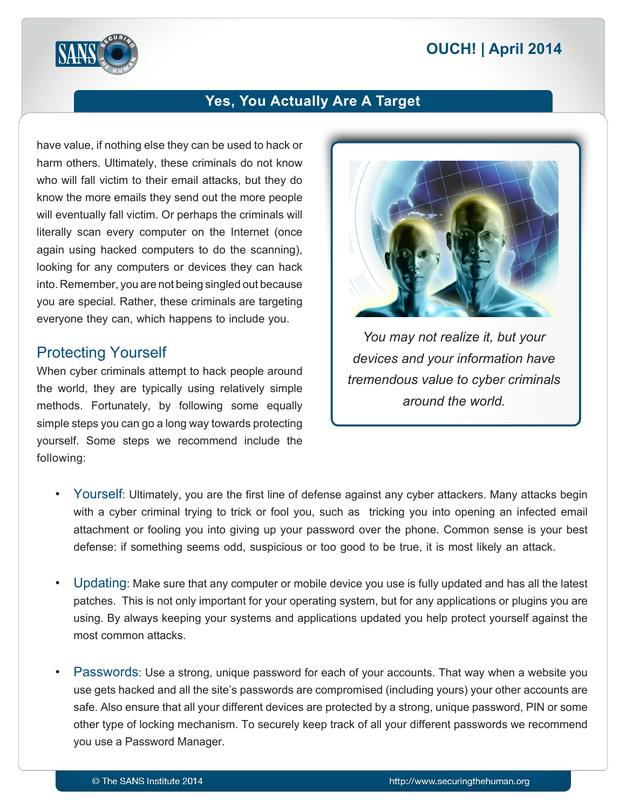# **2014 | OUCH! | April 2014**



## **Yes, You Actually Are A Target**

have value, if nothing else they can be used to hack or harm others. Ultimately, these criminals do not know who will fall victim to their email attacks, but they do know the more emails they send out the more people will eventually fall victim. Or perhaps the criminals will literally scan every computer on the Internet (once again using hacked computers to do the scanning), looking for any computers or devices they can hack into. Remember, you are not being singled out because you are special. Rather, these criminals are targeting everyone they can, which happens to include you.

#### **Protecting Yourself**

When cyber criminals attempt to hack people around the world, they are typically using relatively simple methods. Fortunately, by following some equally simple steps you can go a long way towards protecting vourself. Some steps we recommend include the following:



*You may not realize it, but your* devices and your information have *tremendous value to cyber criminals* around the world.

- Yourself: Ultimately, you are the first line of defense against any cyber attackers. Many attacks begin with a cyber criminal trying to trick or fool you, such as tricking you into opening an infected email attachment or fooling you into giving up your password over the phone. Common sense is your best defense: if something seems odd, suspicious or too good to be true, it is most likely an attack.
- Updating: Make sure that any computer or mobile device you use is fully updated and has all the latest patches. This is not only important for your operating system, but for any applications or plugins you are using. By always keeping your systems and applications updated you help protect yourself against the most common attacks.
- Passwords: Use a strong, unique password for each of your accounts. That way when a website you use gets hacked and all the site's passwords are compromised (including yours) your other accounts are safe. Also ensure that all your different devices are protected by a strong, unique password, PIN or some other type of locking mechanism. To securely keep track of all your different passwords we recommend you use a Password Manager.